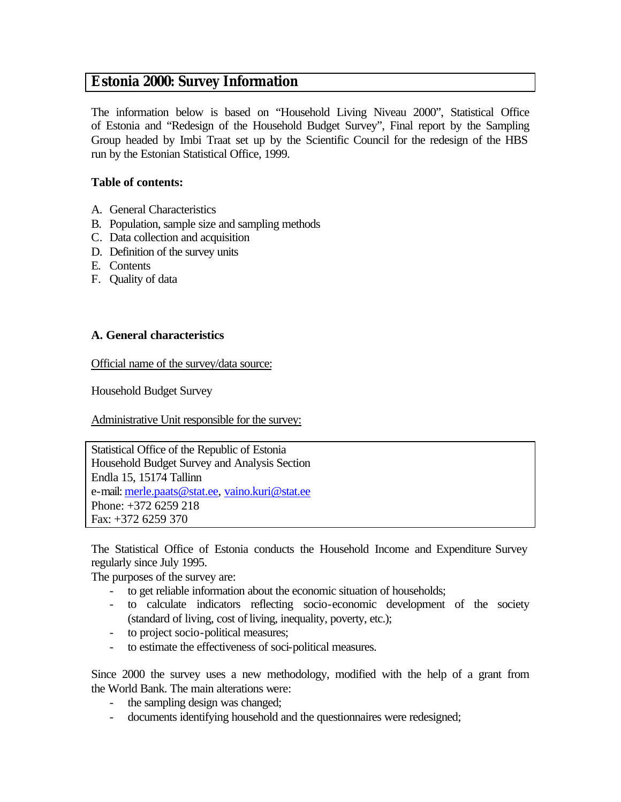# **Estonia 2000: Survey Information**

The information below is based on "Household Living Niveau 2000", Statistical Office of Estonia and "Redesign of the Household Budget Survey", Final report by the Sampling Group headed by Imbi Traat set up by the Scientific Council for the redesign of the HBS run by the Estonian Statistical Office, 1999.

## **Table of contents:**

- A. General Characteristics
- B. Population, sample size and sampling methods
- C. Data collection and acquisition
- D. Definition of the survey units
- E. Contents
- F. Quality of data

## **A. General characteristics**

Official name of the survey/data source:

Household Budget Survey

Administrative Unit responsible for the survey:

Statistical Office of the Republic of Estonia Household Budget Survey and Analysis Section Endla 15, 15174 Tallinn e-mail: merle.paats@stat.ee, vaino.kuri@stat.ee Phone: +372 6259 218 Fax: +372 6259 370

The Statistical Office of Estonia conducts the Household Income and Expenditure Survey regularly since July 1995.

The purposes of the survey are:

- to get reliable information about the economic situation of households;
- to calculate indicators reflecting socio-economic development of the society (standard of living, cost of living, inequality, poverty, etc.);
- to project socio-political measures;
- to estimate the effectiveness of soci-political measures.

Since 2000 the survey uses a new methodology, modified with the help of a grant from the World Bank. The main alterations were:

- the sampling design was changed;
- documents identifying household and the questionnaires were redesigned;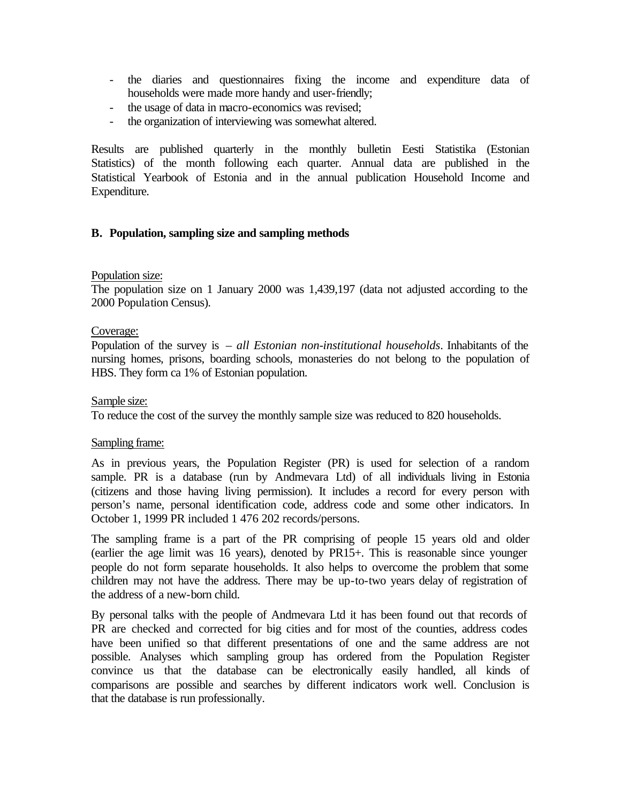- the diaries and questionnaires fixing the income and expenditure data of households were made more handy and user-friendly;
- the usage of data in macro-economics was revised;
- the organization of interviewing was somewhat altered.

Results are published quarterly in the monthly bulletin Eesti Statistika (Estonian Statistics) of the month following each quarter. Annual data are published in the Statistical Yearbook of Estonia and in the annual publication Household Income and Expenditure.

#### **B. Population, sampling size and sampling methods**

#### Population size:

The population size on 1 January 2000 was 1,439,197 (data not adjusted according to the 2000 Population Census).

#### Coverage:

Population of the survey is – *all Estonian non-institutional households*. Inhabitants of the nursing homes, prisons, boarding schools, monasteries do not belong to the population of HBS. They form ca 1% of Estonian population.

#### Sample size:

To reduce the cost of the survey the monthly sample size was reduced to 820 households.

#### Sampling frame:

As in previous years, the Population Register (PR) is used for selection of a random sample. PR is a database (run by Andmevara Ltd) of all individuals living in Estonia (citizens and those having living permission). It includes a record for every person with person's name, personal identification code, address code and some other indicators. In October 1, 1999 PR included 1 476 202 records/persons.

The sampling frame is a part of the PR comprising of people 15 years old and older (earlier the age limit was 16 years), denoted by PR15+. This is reasonable since younger people do not form separate households. It also helps to overcome the problem that some children may not have the address. There may be up-to-two years delay of registration of the address of a new-born child.

By personal talks with the people of Andmevara Ltd it has been found out that records of PR are checked and corrected for big cities and for most of the counties, address codes have been unified so that different presentations of one and the same address are not possible. Analyses which sampling group has ordered from the Population Register convince us that the database can be electronically easily handled, all kinds of comparisons are possible and searches by different indicators work well. Conclusion is that the database is run professionally.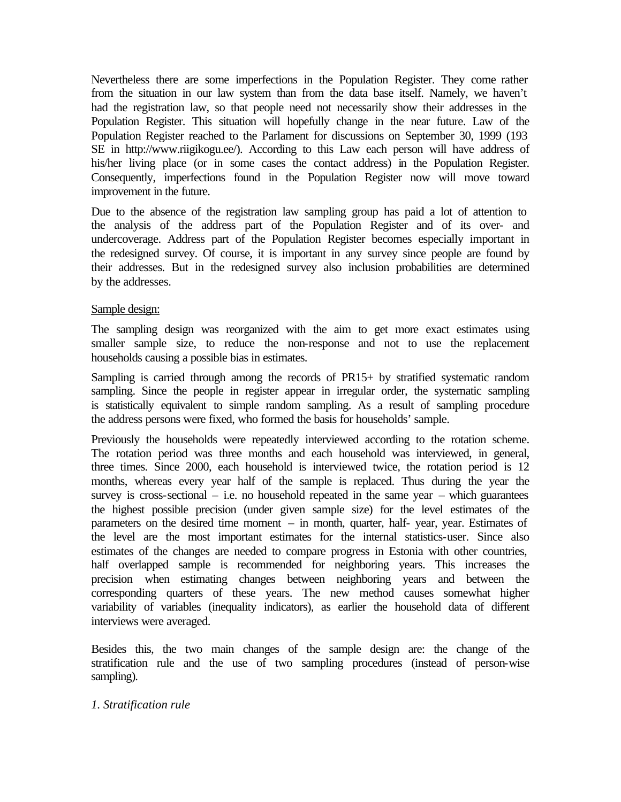Nevertheless there are some imperfections in the Population Register. They come rather from the situation in our law system than from the data base itself. Namely, we haven't had the registration law, so that people need not necessarily show their addresses in the Population Register. This situation will hopefully change in the near future. Law of the Population Register reached to the Parlament for discussions on September 30, 1999 (193 SE in http://www.riigikogu.ee/). According to this Law each person will have address of his/her living place (or in some cases the contact address) in the Population Register. Consequently, imperfections found in the Population Register now will move toward improvement in the future.

Due to the absence of the registration law sampling group has paid a lot of attention to the analysis of the address part of the Population Register and of its over- and undercoverage. Address part of the Population Register becomes especially important in the redesigned survey. Of course, it is important in any survey since people are found by their addresses. But in the redesigned survey also inclusion probabilities are determined by the addresses.

### Sample design:

The sampling design was reorganized with the aim to get more exact estimates using smaller sample size, to reduce the non-response and not to use the replacement households causing a possible bias in estimates.

Sampling is carried through among the records of PR15+ by stratified systematic random sampling. Since the people in register appear in irregular order, the systematic sampling is statistically equivalent to simple random sampling. As a result of sampling procedure the address persons were fixed, who formed the basis for households' sample.

Previously the households were repeatedly interviewed according to the rotation scheme. The rotation period was three months and each household was interviewed, in general, three times. Since 2000, each household is interviewed twice, the rotation period is 12 months, whereas every year half of the sample is replaced. Thus during the year the survey is cross-sectional  $-$  i.e. no household repeated in the same year  $-$  which guarantees the highest possible precision (under given sample size) for the level estimates of the parameters on the desired time moment – in month, quarter, half- year, year. Estimates of the level are the most important estimates for the internal statistics-user. Since also estimates of the changes are needed to compare progress in Estonia with other countries, half overlapped sample is recommended for neighboring years. This increases the precision when estimating changes between neighboring years and between the corresponding quarters of these years. The new method causes somewhat higher variability of variables (inequality indicators), as earlier the household data of different interviews were averaged.

Besides this, the two main changes of the sample design are: the change of the stratification rule and the use of two sampling procedures (instead of person-wise sampling).

### *1. Stratification rule*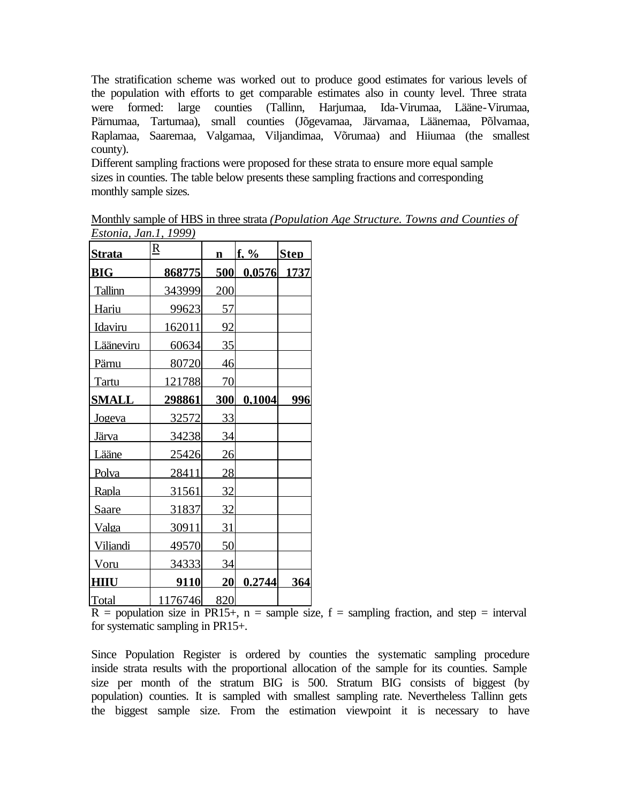The stratification scheme was worked out to produce good estimates for various levels of the population with efforts to get comparable estimates also in county level. Three strata were formed: large counties (Tallinn, Harjumaa, Ida-Virumaa, Lääne-Virumaa, Pärnumaa, Tartumaa), small counties (Jõgevamaa, Järvamaa, Läänemaa, Põlvamaa, Raplamaa, Saaremaa, Valgamaa, Viljandimaa, Võrumaa) and Hiiumaa (the smallest county).

Different sampling fractions were proposed for these strata to ensure more equal sample sizes in counties. The table below presents these sampling fractions and corresponding monthly sample sizes.

| <b>Strata</b> | $\underline{R}$ | $\mathbf{n}$ | $f. \%$       | <b>Step</b> |
|---------------|-----------------|--------------|---------------|-------------|
| <b>BIG</b>    | 868775          | 500          | $0.0576$ 1737 |             |
| Tallinn       | 343999          | 200          |               |             |
| Hariu         | 99623           | 57           |               |             |
| Idaviru       | 162011          | 92           |               |             |
| Lääneviru     | 60634           | 35           |               |             |
| Pärnu         | 80720           | 46           |               |             |
| Tartu         | 121788          | 70           |               |             |
| <b>SMALL</b>  | 298861          | <b>300</b>   | 0.1004        | 996         |
| <u>Jogeva</u> | 32572           | 33           |               |             |
| Järva         | 34238           | 34           |               |             |
| Lääne         | 25426           | 26           |               |             |
| Polva         | 28411           | 28           |               |             |
| Rapla         | 31561           | 32           |               |             |
| <b>Saare</b>  | 31837           | 32           |               |             |
| Valga         | 30911           | 31           |               |             |
| Viliandi      | 49570           | 50           |               |             |
| Voru          | 34333           | 34           |               |             |
| HIIU          | 9110            | 20           | 0.2744        | 364         |
| Total         | 1176746         | 820          |               |             |

Monthly sample of HBS in three strata *(Population Age Structure. Towns and Counties of Estonia, Jan.1, 1999)*

 $R =$  population size in PR15+, n = sample size, f = sampling fraction, and step = interval for systematic sampling in PR15+.

Since Population Register is ordered by counties the systematic sampling procedure inside strata results with the proportional allocation of the sample for its counties. Sample size per month of the stratum BIG is 500. Stratum BIG consists of biggest (by population) counties. It is sampled with smallest sampling rate. Nevertheless Tallinn gets the biggest sample size. From the estimation viewpoint it is necessary to have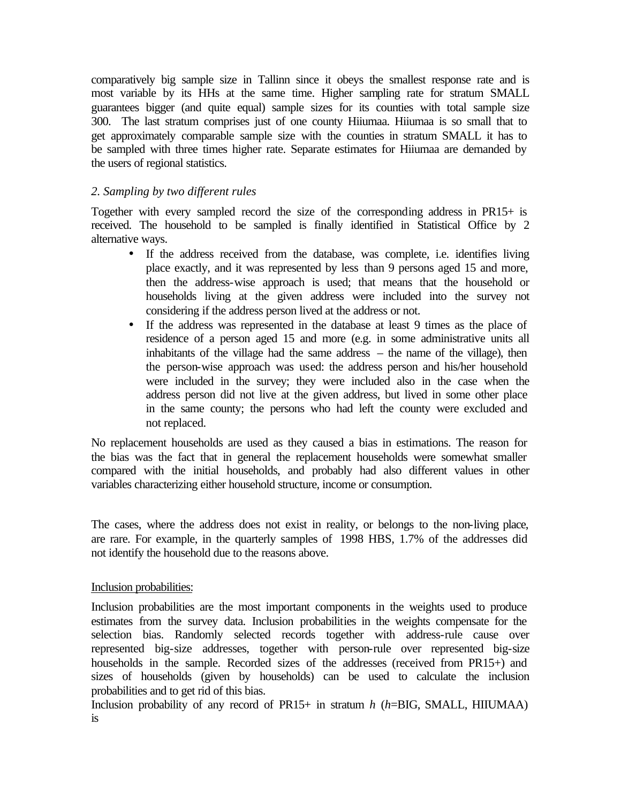comparatively big sample size in Tallinn since it obeys the smallest response rate and is most variable by its HHs at the same time. Higher sampling rate for stratum SMALL guarantees bigger (and quite equal) sample sizes for its counties with total sample size 300. The last stratum comprises just of one county Hiiumaa. Hiiumaa is so small that to get approximately comparable sample size with the counties in stratum SMALL it has to be sampled with three times higher rate. Separate estimates for Hiiumaa are demanded by the users of regional statistics.

## *2. Sampling by two different rules*

Together with every sampled record the size of the corresponding address in PR15+ is received. The household to be sampled is finally identified in Statistical Office by 2 alternative ways.

- If the address received from the database, was complete, i.e. identifies living place exactly, and it was represented by less than 9 persons aged 15 and more, then the address-wise approach is used; that means that the household or households living at the given address were included into the survey not considering if the address person lived at the address or not.
- If the address was represented in the database at least 9 times as the place of residence of a person aged 15 and more (e.g. in some administrative units all inhabitants of the village had the same address – the name of the village), then the person-wise approach was used: the address person and his/her household were included in the survey; they were included also in the case when the address person did not live at the given address, but lived in some other place in the same county; the persons who had left the county were excluded and not replaced.

No replacement households are used as they caused a bias in estimations. The reason for the bias was the fact that in general the replacement households were somewhat smaller compared with the initial households, and probably had also different values in other variables characterizing either household structure, income or consumption.

The cases, where the address does not exist in reality, or belongs to the non-living place, are rare. For example, in the quarterly samples of 1998 HBS, 1.7% of the addresses did not identify the household due to the reasons above.

### Inclusion probabilities:

Inclusion probabilities are the most important components in the weights used to produce estimates from the survey data. Inclusion probabilities in the weights compensate for the selection bias. Randomly selected records together with address-rule cause over represented big-size addresses, together with person-rule over represented big-size households in the sample. Recorded sizes of the addresses (received from PR15+) and sizes of households (given by households) can be used to calculate the inclusion probabilities and to get rid of this bias.

Inclusion probability of any record of PR15+ in stratum *h* (*h*=BIG, SMALL, HIIUMAA) is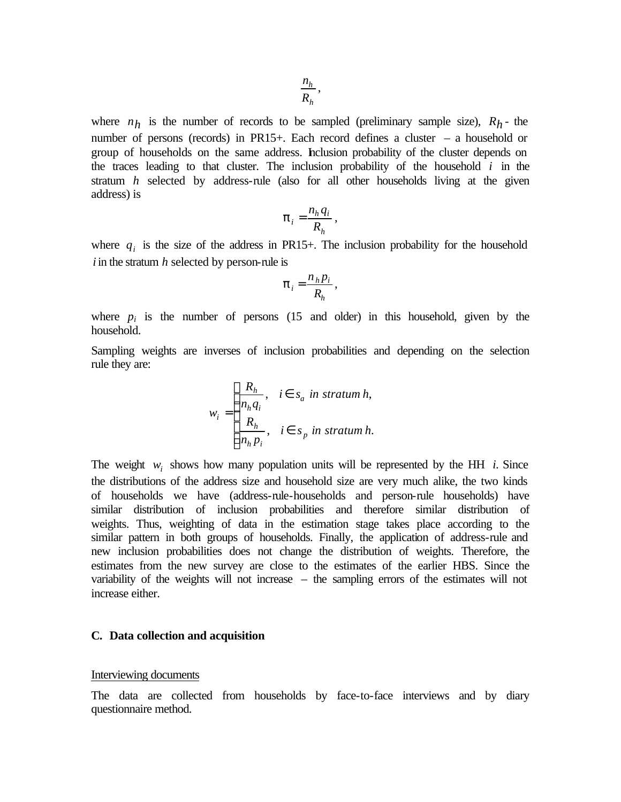where  $n_h$  is the number of records to be sampled (preliminary sample size),  $R_h$ - the number of persons (records) in PR15+. Each record defines a cluster – a household or group of households on the same address. Inclusion probability of the cluster depends on the traces leading to that cluster. The inclusion probability of the household *i* in the stratum *h* selected by address-rule (also for all other households living at the given address) is

$$
\boldsymbol{p}_i = \frac{n_h q_i}{R_h},
$$

where  $q_i$  is the size of the address in PR15+. The inclusion probability for the household *i* in the stratum *h* selected by person-rule is

$$
\boldsymbol{p}_i = \frac{n_h p_i}{R_h},
$$

where  $p_i$  is the number of persons (15 and older) in this household, given by the household.

Sampling weights are inverses of inclusion probabilities and depending on the selection rule they are:

$$
w_i = \begin{cases} \frac{R_h}{n_h q_i}, & i \in s_a \text{ in stratum } h, \\ \frac{R_h}{n_h p_i}, & i \in s_p \text{ in stratum } h. \end{cases}
$$

The weight  $w_i$  shows how many population units will be represented by the HH *i*. Since the distributions of the address size and household size are very much alike, the two kinds of households we have (address-rule-households and person-rule households) have similar distribution of inclusion probabilities and therefore similar distribution of weights. Thus, weighting of data in the estimation stage takes place according to the similar pattern in both groups of households. Finally, the application of address-rule and new inclusion probabilities does not change the distribution of weights. Therefore, the estimates from the new survey are close to the estimates of the earlier HBS. Since the variability of the weights will not increase – the sampling errors of the estimates will not increase either.

#### **C. Data collection and acquisition**

#### Interviewing documents

The data are collected from households by face-to-face interviews and by diary questionnaire method.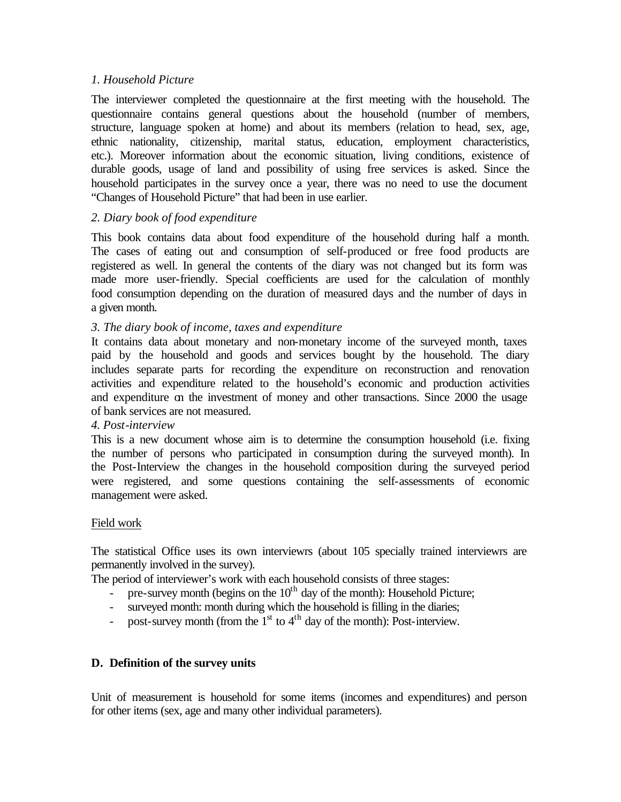### *1. Household Picture*

The interviewer completed the questionnaire at the first meeting with the household. The questionnaire contains general questions about the household (number of members, structure, language spoken at home) and about its members (relation to head, sex, age, ethnic nationality, citizenship, marital status, education, employment characteristics, etc.). Moreover information about the economic situation, living conditions, existence of durable goods, usage of land and possibility of using free services is asked. Since the household participates in the survey once a year, there was no need to use the document "Changes of Household Picture" that had been in use earlier.

## *2. Diary book of food expenditure*

This book contains data about food expenditure of the household during half a month. The cases of eating out and consumption of self-produced or free food products are registered as well. In general the contents of the diary was not changed but its form was made more user-friendly. Special coefficients are used for the calculation of monthly food consumption depending on the duration of measured days and the number of days in a given month.

## *3. The diary book of income, taxes and expenditure*

It contains data about monetary and non-monetary income of the surveyed month, taxes paid by the household and goods and services bought by the household. The diary includes separate parts for recording the expenditure on reconstruction and renovation activities and expenditure related to the household's economic and production activities and expenditure on the investment of money and other transactions. Since 2000 the usage of bank services are not measured.

### *4. Post-interview*

This is a new document whose aim is to determine the consumption household (i.e. fixing the number of persons who participated in consumption during the surveyed month). In the Post-Interview the changes in the household composition during the surveyed period were registered, and some questions containing the self-assessments of economic management were asked.

### Field work

The statistical Office uses its own interviewrs (about 105 specially trained interviewrs are permanently involved in the survey).

The period of interviewer's work with each household consists of three stages:

- pre-survey month (begins on the  $10<sup>th</sup>$  day of the month): Household Picture;
- surveyed month: month during which the household is filling in the diaries;
- post-survey month (from the  $1<sup>st</sup>$  to  $4<sup>th</sup>$  day of the month): Post-interview.

### **D. Definition of the survey units**

Unit of measurement is household for some items (incomes and expenditures) and person for other items (sex, age and many other individual parameters).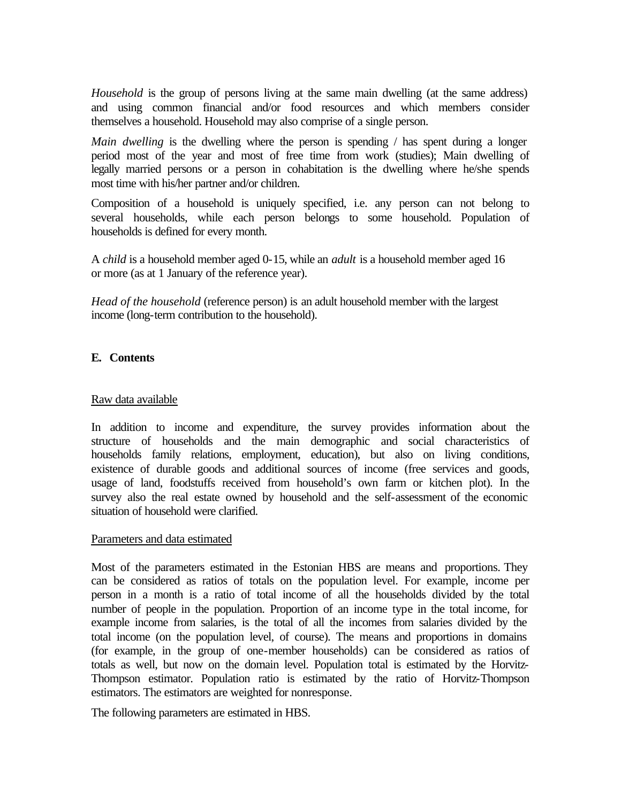*Household* is the group of persons living at the same main dwelling (at the same address) and using common financial and/or food resources and which members consider themselves a household. Household may also comprise of a single person.

*Main dwelling* is the dwelling where the person is spending / has spent during a longer period most of the year and most of free time from work (studies); Main dwelling of legally married persons or a person in cohabitation is the dwelling where he/she spends most time with his/her partner and/or children.

Composition of a household is uniquely specified, i.e. any person can not belong to several households, while each person belongs to some household. Population of households is defined for every month.

A *child* is a household member aged 0-15, while an *adult* is a household member aged 16 or more (as at 1 January of the reference year).

*Head of the household* (reference person) is an adult household member with the largest income (long-term contribution to the household).

## **E. Contents**

### Raw data available

In addition to income and expenditure, the survey provides information about the structure of households and the main demographic and social characteristics of households family relations, employment, education), but also on living conditions, existence of durable goods and additional sources of income (free services and goods, usage of land, foodstuffs received from household's own farm or kitchen plot). In the survey also the real estate owned by household and the self-assessment of the economic situation of household were clarified.

#### Parameters and data estimated

Most of the parameters estimated in the Estonian HBS are means and proportions. They can be considered as ratios of totals on the population level. For example, income per person in a month is a ratio of total income of all the households divided by the total number of people in the population. Proportion of an income type in the total income, for example income from salaries, is the total of all the incomes from salaries divided by the total income (on the population level, of course). The means and proportions in domains (for example, in the group of one-member households) can be considered as ratios of totals as well, but now on the domain level. Population total is estimated by the Horvitz-Thompson estimator. Population ratio is estimated by the ratio of Horvitz-Thompson estimators. The estimators are weighted for nonresponse.

The following parameters are estimated in HBS.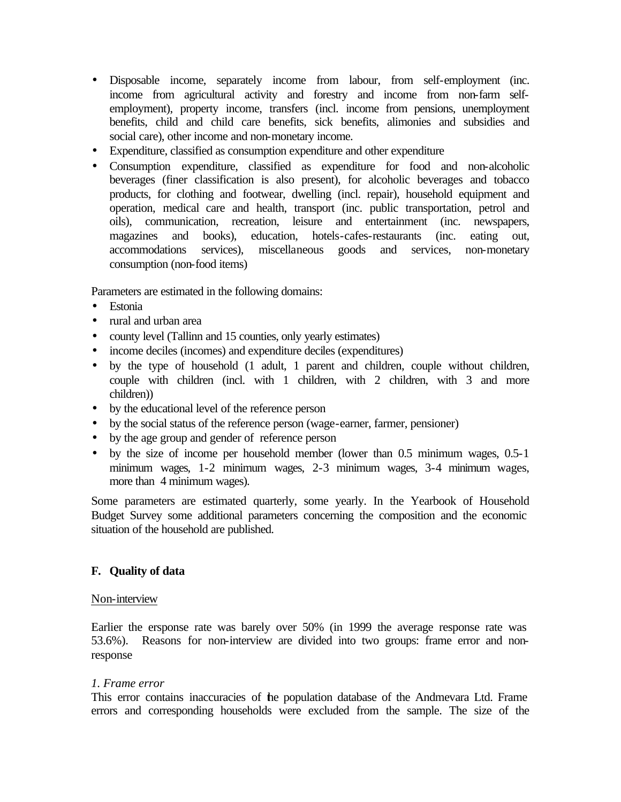- Disposable income, separately income from labour, from self-employment (inc. income from agricultural activity and forestry and income from non-farm selfemployment), property income, transfers (incl. income from pensions, unemployment benefits, child and child care benefits, sick benefits, alimonies and subsidies and social care), other income and non-monetary income.
- Expenditure, classified as consumption expenditure and other expenditure
- Consumption expenditure, classified as expenditure for food and non-alcoholic beverages (finer classification is also present), for alcoholic beverages and tobacco products, for clothing and footwear, dwelling (incl. repair), household equipment and operation, medical care and health, transport (inc. public transportation, petrol and oils), communication, recreation, leisure and entertainment (inc. newspapers, magazines and books), education, hotels-cafes-restaurants (inc. eating out, accommodations services), miscellaneous goods and services, non-monetary consumption (non-food items)

Parameters are estimated in the following domains:

- Estonia
- rural and urban area
- county level (Tallinn and 15 counties, only yearly estimates)
- income deciles (incomes) and expenditure deciles (expenditures)
- by the type of household (1 adult, 1 parent and children, couple without children, couple with children (incl. with 1 children, with 2 children, with 3 and more children))
- by the educational level of the reference person
- by the social status of the reference person (wage-earner, farmer, pensioner)
- by the age group and gender of reference person
- by the size of income per household member (lower than 0.5 minimum wages, 0.5-1) minimum wages, 1-2 minimum wages, 2-3 minimum wages, 3-4 minimum wages, more than 4 minimum wages).

Some parameters are estimated quarterly, some yearly. In the Yearbook of Household Budget Survey some additional parameters concerning the composition and the economic situation of the household are published.

## **F. Quality of data**

### Non-interview

Earlier the ersponse rate was barely over 50% (in 1999 the average response rate was 53.6%). Reasons for non-interview are divided into two groups: frame error and nonresponse

### *1. Frame error*

This error contains inaccuracies of the population database of the Andmevara Ltd. Frame errors and corresponding households were excluded from the sample. The size of the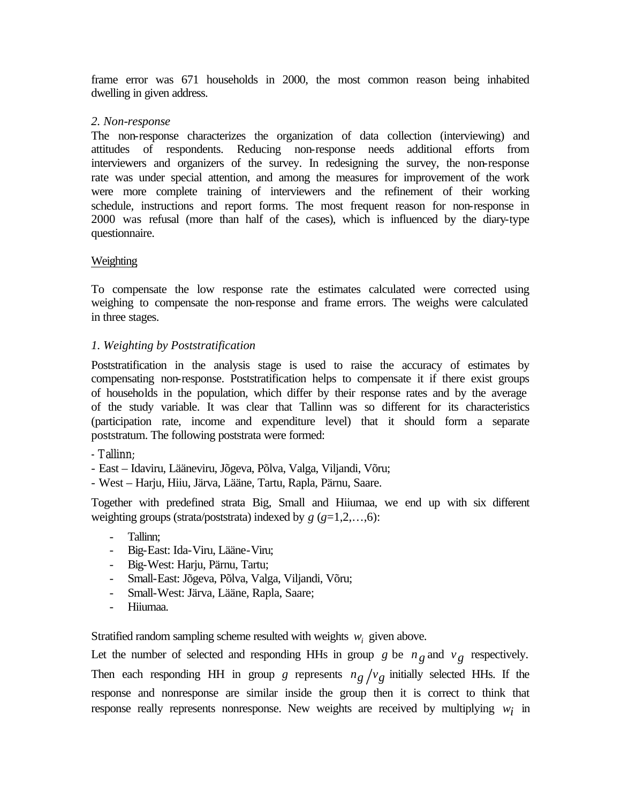frame error was 671 households in 2000, the most common reason being inhabited dwelling in given address.

## *2. Non-response*

The non-response characterizes the organization of data collection (interviewing) and attitudes of respondents. Reducing non-response needs additional efforts from interviewers and organizers of the survey. In redesigning the survey, the non-response rate was under special attention, and among the measures for improvement of the work were more complete training of interviewers and the refinement of their working schedule, instructions and report forms. The most frequent reason for non-response in 2000 was refusal (more than half of the cases), which is influenced by the diary-type questionnaire.

## Weighting

To compensate the low response rate the estimates calculated were corrected using weighing to compensate the non-response and frame errors. The weighs were calculated in three stages.

## *1. Weighting by Poststratification*

Poststratification in the analysis stage is used to raise the accuracy of estimates by compensating non-response. Poststratification helps to compensate it if there exist groups of households in the population, which differ by their response rates and by the average of the study variable. It was clear that Tallinn was so different for its characteristics (participation rate, income and expenditure level) that it should form a separate poststratum. The following poststrata were formed:

- Tallinn;
- East Idaviru, Lääneviru, Jõgeva, Põlva, Valga, Viljandi, Võru;
- West Harju, Hiiu, Järva, Lääne, Tartu, Rapla, Pärnu, Saare.

Together with predefined strata Big, Small and Hiiumaa, we end up with six different weighting groups (strata/poststrata) indexed by *g* (*g*=1,2,…,6):

- Tallinn;
- Big-East: Ida-Viru, Lääne-Viru;
- Big-West: Harju, Pärnu, Tartu;
- Small-East: Jõgeva, Põlva, Valga, Viljandi, Võru;
- Small-West: Järva, Lääne, Rapla, Saare;
- Hiiumaa.

Stratified random sampling scheme resulted with weights  $w_i$  given above.

Let the number of selected and responding HHs in group *g* be  $n_g$  and  $v_g$  respectively. Then each responding HH in group *g* represents  $n_g/v_g$  initially selected HHs. If the response and nonresponse are similar inside the group then it is correct to think that response really represents nonresponse. New weights are received by multiplying *wi* in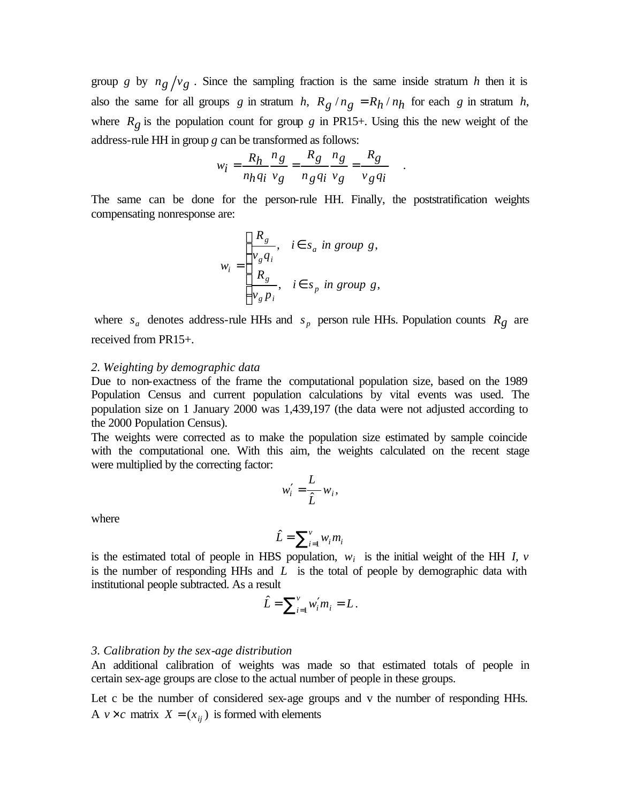group *g* by  $n_g/v_g$ . Since the sampling fraction is the same inside stratum *h* then it is also the same for all groups *g* in stratum *h*,  $R_g / n_g = R_h / n_h$  for each *g* in stratum *h*, where  $R_g$  is the population count for group  $g$  in PR15+. Using this the new weight of the address-rule HH in group *g* can be transformed as follows:

$$
w_i = \frac{R_h}{n_h q_i} \frac{n_g}{v_g} = \frac{R_g}{n_g q_i} \frac{n_g}{v_g} = \frac{R_g}{v_g q_i} .
$$

The same can be done for the person-rule HH. Finally, the poststratification weights compensating nonresponse are:

$$
w_i = \begin{cases} \frac{R_g}{v_g q_i}, & i \in s_a \text{ in group } g, \\ \frac{R_g}{v_g p_i}, & i \in s_p \text{ in group } g, \end{cases}
$$

where  $s_a$  denotes address-rule HHs and  $s_p$  person rule HHs. Population counts  $R_g$  are received from PR15+.

#### *2. Weighting by demographic data*

Due to non-exactness of the frame the computational population size, based on the 1989 Population Census and current population calculations by vital events was used. The population size on 1 January 2000 was 1,439,197 (the data were not adjusted according to the 2000 Population Census).

The weights were corrected as to make the population size estimated by sample coincide with the computational one. With this aim, the weights calculated on the recent stage were multiplied by the correcting factor:

$$
w_i' = \frac{L}{\hat{L}} w_i,
$$

where

$$
\hat{L} = \sum_{i=1}^{v} w_i m_i
$$

is the estimated total of people in HBS population,  $w_i$  is the initial weight of the HH *I*,  $v_i$ is the number of responding HHs and *L* is the total of people by demographic data with institutional people subtracted. As a result

$$
\hat{L} = \sum_{i=1}^{v} w'_i m_i = L.
$$

#### *3. Calibration by the sex-age distribution*

An additional calibration of weights was made so that estimated totals of people in certain sex-age groups are close to the actual number of people in these groups.

Let c be the number of considered sex-age groups and v the number of responding HHs. A  $v \times c$  matrix  $X = (x_{ij})$  is formed with elements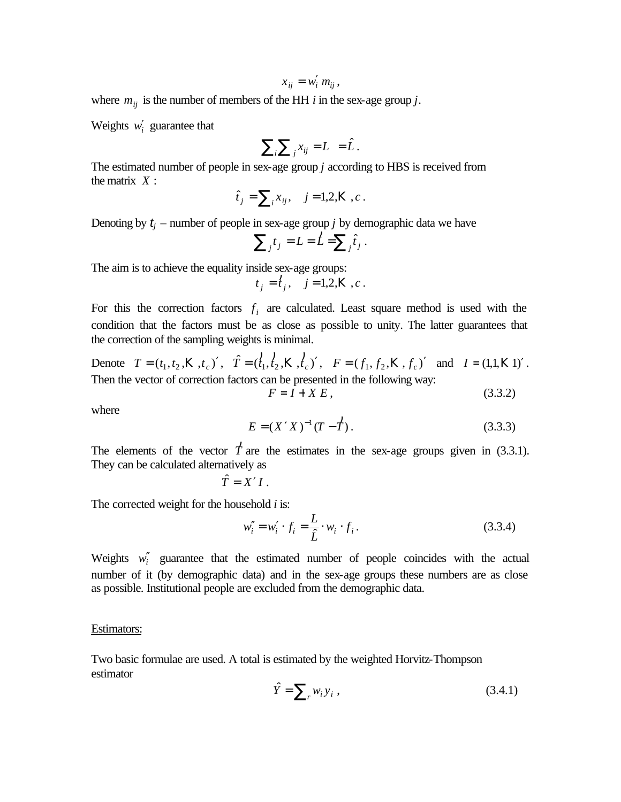$$
x_{ij} = w'_i \, m_{ij},
$$

where  $m_{ij}$  is the number of members of the HH *i* in the sex-age group *j*.

Weights  $w'_i$  guarantee that

$$
\sum_i \sum_j x_{ij} = L = \hat{L}.
$$

The estimated number of people in sex-age group *j* according to HBS is received from the matrix *X* :

$$
\hat{t}_j = \sum_i x_{ij}, \quad j = 1, 2, K, c.
$$

Denoting by  $t_j$  – number of people in sex-age group *j* by demographic data we have

$$
\sum_j t_j = L = \hat{L} = \sum_j \hat{t}_j.
$$

The aim is to achieve the equality inside sex-age groups:

$$
t_j = t_j
$$
,  $j = 1,2, K$ , c.

For this the correction factors  $f_i$  are calculated. Least square method is used with the condition that the factors must be as close as possible to unity. The latter guarantees that the correction of the sampling weights is minimal.

Denote  $T = (t_1, t_2, \mathbf{K}, t_c)'$ ,  $\hat{T} = (\hat{t}_1, \hat{t}_2, \mathbf{K}, \hat{t}_c)'$ ) Κ  $\hat{f}_1, \hat{f}_2, \mathbf{K}, \hat{f}_c)'$ ,  $F = (f_1, f_2, \mathbf{K}, f_c)'$  and  $I = (1, 1, \mathbf{K} \cdot 1)'$ . Then the vector of correction factors can be presented in the following way:

 $F = I + X E$ , (3.3.2)

where

$$
E = (X'X)^{-1}(T - \overset{\dagger}{T})\,. \tag{3.3.3}
$$

The elements of the vector *T* ) are the estimates in the sex-age groups given in (3.3.1). They can be calculated alternatively as

$$
\hat{T}=X'I.
$$

The corrected weight for the household *i* is:

$$
w''_i = w'_i \cdot f_i = \frac{L}{\hat{L}} \cdot w_i \cdot f_i.
$$
 (3.3.4)

Weights  $w_i'$  guarantee that the estimated number of people coincides with the actual number of it (by demographic data) and in the sex-age groups these numbers are as close as possible. Institutional people are excluded from the demographic data.

#### Estimators:

Two basic formulae are used. A total is estimated by the weighted Horvitz-Thompson estimator

$$
\hat{Y} = \sum_{r} w_i y_i , \qquad (3.4.1)
$$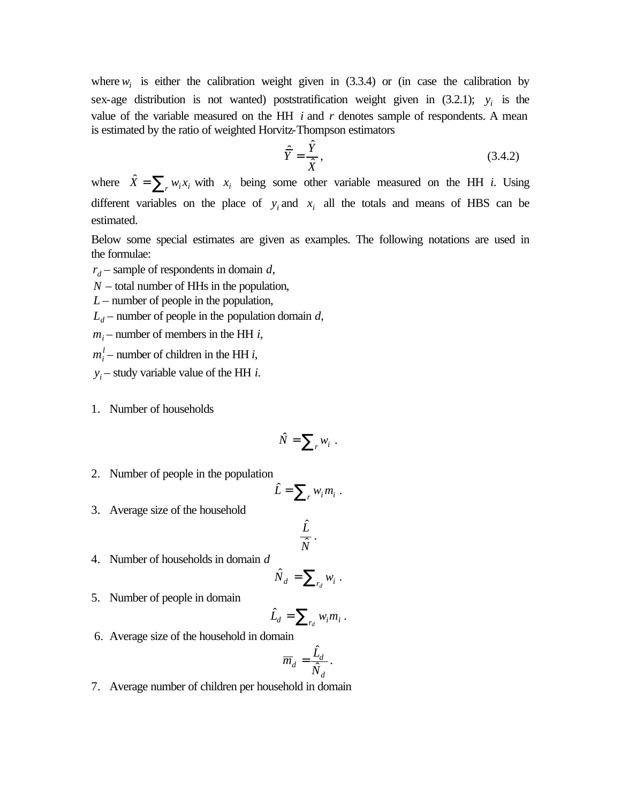where  $w_i$  is either the calibration weight given in (3.3.4) or (in case the calibration by sex-age distribution is not wanted) poststratification weight given in  $(3.2.1)$ ;  $y_i$  is the value of the variable measured on the HH *i* and *r* denotes sample of respondents. A mean is estimated by the ratio of weighted Horvitz-Thompson estimators

$$
\hat{\overline{Y}} = \frac{\hat{Y}}{\hat{X}},\tag{3.4.2}
$$

where  $\hat{X} = \sum_{r} w_i x_i$  with  $x_i$  being some other variable measured on the HH *i*. Using different variables on the place of  $y_i$  and  $x_i$  all the totals and means of HBS can be estimated.

Below some special estimates are given as examples. The following notations are used in the formulae:

- *d r* sample of respondents in domain *d*,
- *N* total number of HHs in the population,
- *L* number of people in the population,
- $L_d$  number of people in the population domain *d*,
- $m_i$  number of members in the HH *i*,
- $m_i^l$  number of children in the HH *i*,
- $y_i$  study variable value of the HH *i*.
- 1. Number of households

$$
\hat{N} = \sum_{r} w_i \ .
$$

2. Number of people in the population

$$
\hat{L} = \sum_{r} w_i m_i \; .
$$

3. Average size of the household

$$
\frac{\hat{L}}{\hat{N}}\,.
$$

4. Number of households in domain *d*

$$
\hat{N}_d = \sum_{r_d} w_i \; .
$$

5. Number of people in domain

$$
\hat{L}_d = \sum_{r_d} w_i m_i \, .
$$

6. Average size of the household in domain

$$
\overline{m}_d = \frac{\hat{L}_d}{\hat{N}_d}.
$$

7. Average number of children per household in domain